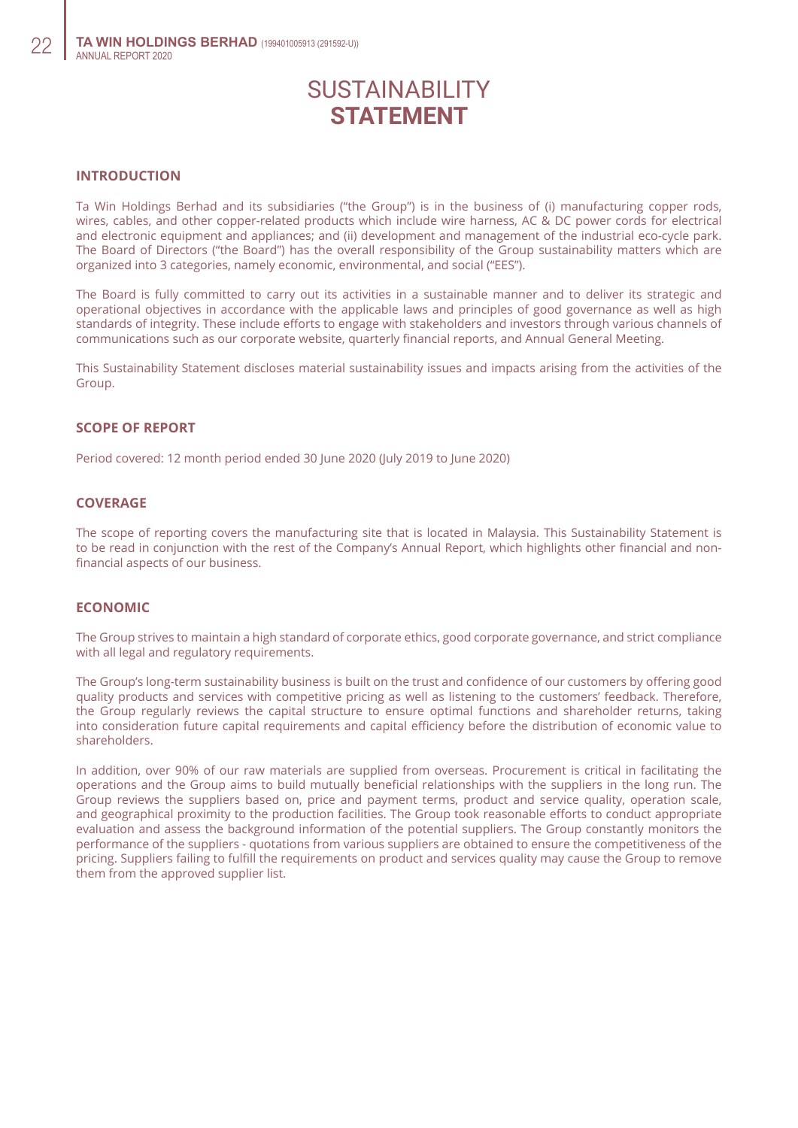# SUSTAINABILITY **STATEMENT**

## **Introduction**

Ta Win Holdings Berhad and its subsidiaries ("the Group") is in the business of (i) manufacturing copper rods, wires, cables, and other copper-related products which include wire harness, AC & DC power cords for electrical and electronic equipment and appliances; and (ii) development and management of the industrial eco-cycle park. The Board of Directors ("the Board") has the overall responsibility of the Group sustainability matters which are organized into 3 categories, namely economic, environmental, and social ("EES").

The Board is fully committed to carry out its activities in a sustainable manner and to deliver its strategic and operational objectives in accordance with the applicable laws and principles of good governance as well as high standards of integrity. These include efforts to engage with stakeholders and investors through various channels of communications such as our corporate website, quarterly financial reports, and Annual General Meeting.

This Sustainability Statement discloses material sustainability issues and impacts arising from the activities of the Group.

#### **Scope of Report**

Period covered: 12 month period ended 30 June 2020 (July 2019 to June 2020)

### **Coverage**

The scope of reporting covers the manufacturing site that is located in Malaysia. This Sustainability Statement is to be read in conjunction with the rest of the Company's Annual Report, which highlights other financial and nonfinancial aspects of our business.

## **Economic**

The Group strives to maintain a high standard of corporate ethics, good corporate governance, and strict compliance with all legal and regulatory requirements.

The Group's long-term sustainability business is built on the trust and confidence of our customers by offering good quality products and services with competitive pricing as well as listening to the customers' feedback. Therefore, the Group regularly reviews the capital structure to ensure optimal functions and shareholder returns, taking into consideration future capital requirements and capital efficiency before the distribution of economic value to shareholders.

In addition, over 90% of our raw materials are supplied from overseas. Procurement is critical in facilitating the operations and the Group aims to build mutually beneficial relationships with the suppliers in the long run. The Group reviews the suppliers based on, price and payment terms, product and service quality, operation scale, and geographical proximity to the production facilities. The Group took reasonable efforts to conduct appropriate evaluation and assess the background information of the potential suppliers. The Group constantly monitors the performance of the suppliers - quotations from various suppliers are obtained to ensure the competitiveness of the pricing. Suppliers failing to fulfill the requirements on product and services quality may cause the Group to remove them from the approved supplier list.